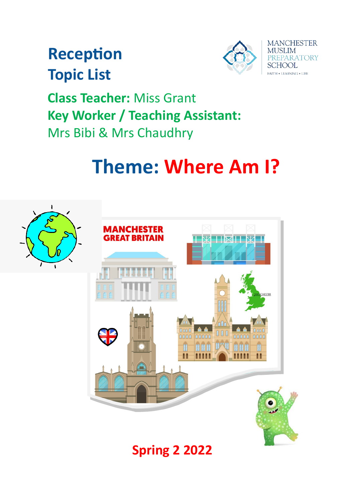## **Reception Topic List**



**Class Teacher:** Miss Grant **Key Worker / Teaching Assistant:** Mrs Bibi & Mrs Chaudhry

# **Theme: Where Am I?**



## **Spring 2 2022**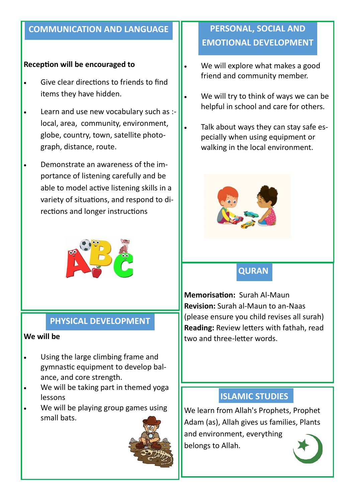#### **COMMUNICATION AND LANGUAGE**

#### **Reception will be encouraged to**

- Give clear directions to friends to find items they have hidden.
- Learn and use new vocabulary such as : local, area, community, environment, globe, country, town, satellite photograph, distance, route.
- Demonstrate an awareness of the importance of listening carefully and be able to model active listening skills in a variety of situations, and respond to directions and longer instructions



#### **PHYSICAL DEVELOPMENT**

#### **We will be**

- Using the large climbing frame and gymnastic equipment to develop balance, and core strength.
- We will be taking part in themed yoga lessons
- We will be playing group games using small bats.



## **PERSONAL, SOCIAL AND EMOTIONAL DEVELOPMENT**

- We will explore what makes a good friend and community member.
- We will try to think of ways we can be helpful in school and care for others.
- Talk about ways they can stay safe especially when using equipment or walking in the local environment.



## **QURAN**

**Memorisation:** Surah Al-Maun **Revision:** Surah al-Maun to an-Naas (please ensure you child revises all surah) **Reading:** Review letters with fathah, read two and three-letter words.

## **ISLAMIC STUDIES**

We learn from Allah's Prophets, Prophet Adam (as), Allah gives us families, Plants and environment, everything belongs to Allah.